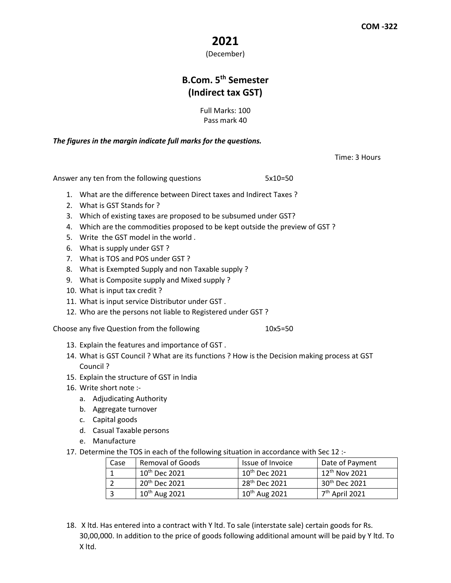## **2021**

(December)

## **B.Com. 5th Semester (Indirect tax GST)**

Full Marks: 100 Pass mark 40

*The figures in the margin indicate full marks for the questions.*

Time: 3 Hours

Answer any ten from the following questions 5x10=50

- 1. What are the difference between Direct taxes and Indirect Taxes ?
- 2. What is GST Stands for ?
- 3. Which of existing taxes are proposed to be subsumed under GST?
- 4. Which are the commodities proposed to be kept outside the preview of GST ?
- 5. Write the GST model in the world .
- 6. What is supply under GST ?
- 7. What is TOS and POS under GST ?
- 8. What is Exempted Supply and non Taxable supply ?
- 9. What is Composite supply and Mixed supply ?
- 10. What is input tax credit ?
- 11. What is input service Distributor under GST .
- 12. Who are the persons not liable to Registered under GST ?

Choose any five Question from the following 10x5=50

- 13. Explain the features and importance of GST .
- 14. What is GST Council ? What are its functions ? How is the Decision making process at GST Council ?
- 15. Explain the structure of GST in India
- 16. Write short note :
	- a. Adjudicating Authority
	- b. Aggregate turnover
	- c. Capital goods
	- d. Casual Taxable persons
	- e. Manufacture
- 17. Determine the TOS in each of the following situation in accordance with Sec 12 :-

| Case | <b>Removal of Goods</b>   | Issue of Invoice          | Date of Payment            |
|------|---------------------------|---------------------------|----------------------------|
|      | $10^{\text{th}}$ Dec 2021 | $10^{\text{th}}$ Dec 2021 | $12^{\text{th}}$ Nov 2021  |
|      | $20th$ Dec 2021           | 28 <sup>th</sup> Dec 2021 | $30th$ Dec 2021            |
|      | $10th$ Aug 2021           | 10 <sup>th</sup> Aug 2021 | 7 <sup>th</sup> April 2021 |

18. X ltd. Has entered into a contract with Y ltd. To sale (interstate sale) certain goods for Rs. 30,00,000. In addition to the price of goods following additional amount will be paid by Y ltd. To X ltd.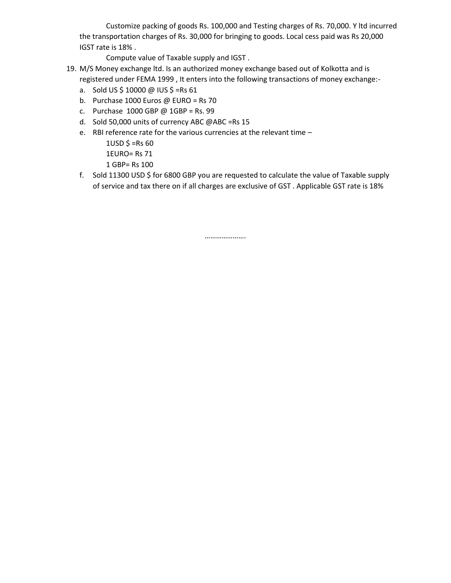Customize packing of goods Rs. 100,000 and Testing charges of Rs. 70,000. Y ltd incurred the transportation charges of Rs. 30,000 for bringing to goods. Local cess paid was Rs 20,000 IGST rate is 18% .

Compute value of Taxable supply and IGST .

- 19. M/S Money exchange ltd. Is an authorized money exchange based out of Kolkotta and is registered under FEMA 1999 , It enters into the following transactions of money exchange:
	- a. Sold US \$ 10000 @ IUS \$ =Rs 61
	- b. Purchase 1000 Euros @ EURO = Rs 70
	- c. Purchase 1000 GBP @ 1GBP = Rs. 99
	- d. Sold 50,000 units of currency ABC @ABC =Rs 15
	- e. RBI reference rate for the various currencies at the relevant time
		- $1USD$  \$ =Rs 60
		- 1EURO= Rs 71
		- 1 GBP= Rs 100
	- f. Sold 11300 USD \$ for 6800 GBP you are requested to calculate the value of Taxable supply of service and tax there on if all charges are exclusive of GST . Applicable GST rate is 18%

………………….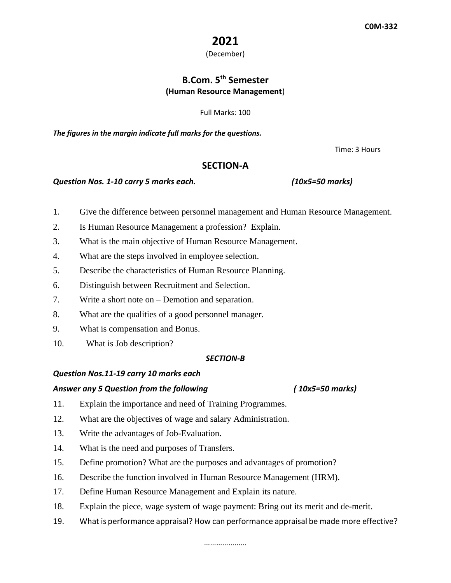## **2021**

(December)

## **B.Com. 5th Semester (Human Resource Management**)

Full Marks: 100

*The figures in the margin indicate full marks for the questions.*

Time: 3 Hours

#### **SECTION-A**

#### *Question Nos. 1-10 carry 5 marks each. (10x5=50 marks)*

- 1. Give the difference between personnel management and Human Resource Management.
- 2. Is Human Resource Management a profession? Explain.
- 3. What is the main objective of Human Resource Management.
- 4. What are the steps involved in employee selection.
- 5. Describe the characteristics of Human Resource Planning.
- 6. Distinguish between Recruitment and Selection.
- 7. Write a short note on Demotion and separation.
- 8. What are the qualities of a good personnel manager.
- 9. What is compensation and Bonus.
- 10. What is Job description?

#### *SECTION-B*

#### *Question Nos.11-19 carry 10 marks each*

#### *Answer any 5 Question from the following ( 10x5=50 marks)*

- 11. Explain the importance and need of Training Programmes.
- 12. What are the objectives of wage and salary Administration.
- 13. Write the advantages of Job-Evaluation.
- 14. What is the need and purposes of Transfers.
- 15. Define promotion? What are the purposes and advantages of promotion?
- 16. Describe the function involved in Human Resource Management (HRM).
- 17. Define Human Resource Management and Explain its nature.
- 18. Explain the piece, wage system of wage payment: Bring out its merit and de-merit.
- 19. What is performance appraisal? How can performance appraisal be made more effective?

#### …………………